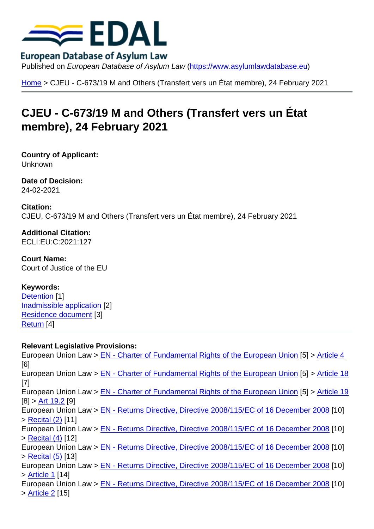Home > CJEU - C-673/19 M and Others (Transfert vers un État membre), 24 February 2021

## [CJE](https://www.asylumlawdatabase.eu/en)U - C-673/19 M and Others (Transfert vers un État membre), 24 February 2021

Country of Applicant: Unknown

Date of Decision: 24-02-2021

Citation: CJEU, C-673/19 M and Others (Transfert vers un État membre), 24 February 2021

Additional Citation: ECLI:EU:C:2021:127

Court Name: Court of Justice of the EU

Keywords: Detention [1] Inadmissible application [2] Residence document [3] [Return](https://www.asylumlawdatabase.eu/en/case-law-search?f[0]=field_keywords:27) [4]

[Relevant Legislative P](https://www.asylumlawdatabase.eu/en/case-law-search?f[0]=field_keywords:2489)rovisions: [Europe](https://www.asylumlawdatabase.eu/en/case-law-search?f[0]=field_keywords:2490)an Union Law > EN - Charter of Fundamental Rights of the European Union [5] > Article 4 [6] European Union Law > EN - Charter of Fundamental Rights of the European Union [5] > Article 18 [7] European Union Law > [EN - Charter of Fundamental Rights of the European Union](https://www.asylumlawdatabase.eu/node/453) [5] > [Article 1](https://www.asylumlawdatabase.eu/node/453#toc_29)9  $[8]$  > Art 19.2 [9] European Union Law > [EN - Returns Directive, Directive 2008/115/EC of 16 Decem](https://www.asylumlawdatabase.eu/node/453)ber 2008 [\[10\]](https://www.asylumlawdatabase.eu/node/453#toc_85) > Recital (2) [11] Euro[pean Un](https://www.asylumlawdatabase.eu/node/453#toc_91)ion Law > [EN - Returns Directive, Directive 2008/115/EC of 16 Decem](https://www.asylumlawdatabase.eu/node/453)ber 2008 [\[10\]](https://www.asylumlawdatabase.eu/node/453#toc_88) > Recital (4) [12] E[uropean Un](https://www.asylumlawdatabase.eu/node/1306#toc_10)ion Law > [EN - Returns Directive, Directive 2008/115/EC of 16 December 2008](https://www.asylumlawdatabase.eu/node/1306) [10] > Recital (5) [13] E[uropean Un](https://www.asylumlawdatabase.eu/node/1306#toc_12)ion Law > [EN - Returns Directive, Directive 2008/115/EC of 16 December 2008](https://www.asylumlawdatabase.eu/node/1306) [10] > Article 1 [14] E[uropean Un](https://www.asylumlawdatabase.eu/node/1306#toc_13)ion Law > [EN - Returns Directive, Directive 2008/115/EC of 16 December 2008](https://www.asylumlawdatabase.eu/node/1306) [10] > Article 2 [15]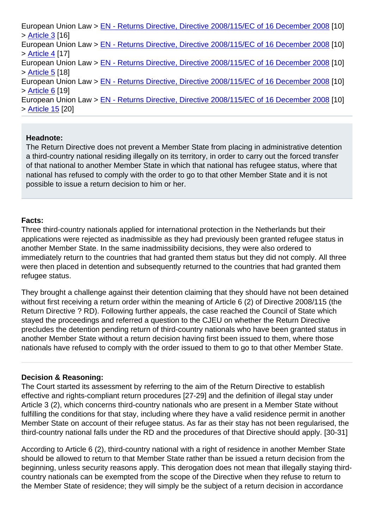| > Article 3 [16]                                                                            |
|---------------------------------------------------------------------------------------------|
| European Union Law > EN - Returns Directive, Directive 2008/115/EC of 16 December 2008 [10] |
| > Article 4 [17]                                                                            |
| European Union Law > EN - Returns Directive, Directive 2008/115/EC of 16 December 2008 [10] |
| > Article 5 [18]                                                                            |
| European Union Law > EN - Returns Directive, Directive 2008/115/EC of 16 December 2008 [10] |
| > Article 6 [19]                                                                            |
| European Union Law > EN - Returns Directive, Directive 2008/115/EC of 16 December 2008 [10] |
| > Article 15 [20]                                                                           |
|                                                                                             |

## [Headnote:](https://www.asylumlawdatabase.eu/node/1306#toc_161)

The Return Directive does not prevent a Member State from placing in administrative detention a third-country national residing illegally on its territory, in order to carry out the forced transfer of that national to another Member State in which that national has refugee status, where that national has refused to comply with the order to go to that other Member State and it is not possible to issue a return decision to him or her.

## Facts:

Three third-country nationals applied for international protection in the Netherlands but their applications were rejected as inadmissible as they had previously been granted refugee status in another Member State. In the same inadmissibility decisions, they were also ordered to immediately return to the countries that had granted them status but they did not comply. All three were then placed in detention and subsequently returned to the countries that had granted them refugee status.

They brought a challenge against their detention claiming that they should have not been detained without first receiving a return order within the meaning of Article 6 (2) of Directive 2008/115 (the Return Directive ? RD). Following further appeals, the case reached the Council of State which stayed the proceedings and referred a question to the CJEU on whether the Return Directive precludes the detention pending return of third-country nationals who have been granted status in another Member State without a return decision having first been issued to them, where those nationals have refused to comply with the order issued to them to go to that other Member State.

## Decision & Reasoning:

The Court started its assessment by referring to the aim of the Return Directive to establish effective and rights-compliant return procedures [27-29] and the definition of illegal stay under Article 3 (2), which concerns third-country nationals who are present in a Member State without fulfilling the conditions for that stay, including where they have a valid residence permit in another Member State on account of their refugee status. As far as their stay has not been regularised, the third-country national falls under the RD and the procedures of that Directive should apply. [30-31]

According to Article 6 (2), third-country national with a right of residence in another Member State should be allowed to return to that Member State rather than be issued a return decision from the beginning, unless security reasons apply. This derogation does not mean that illegally staying thirdcountry nationals can be exempted from the scope of the Directive when they refuse to return to the Member State of residence; they will simply be the subject of a return decision in accordance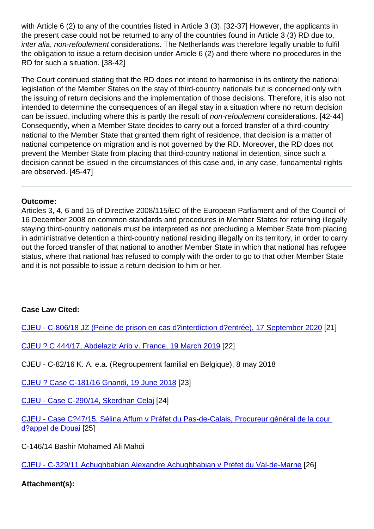the present case could not be returned to any of the countries found in Article 3 (3) RD due to, inter alia, non-refoulement considerations. The Netherlands was therefore legally unable to fulfil the obligation to issue a return decision under Article 6 (2) and there where no procedures in the RD for such a situation. [38-42]

The Court continued stating that the RD does not intend to harmonise in its entirety the national legislation of the Member States on the stay of third-country nationals but is concerned only with the issuing of return decisions and the implementation of those decisions. Therefore, it is also not intended to determine the consequences of an illegal stay in a situation where no return decision can be issued, including where this is partly the result of non-refoulement considerations. [42-44] Consequently, when a Member State decides to carry out a forced transfer of a third-country national to the Member State that granted them right of residence, that decision is a matter of national competence on migration and is not governed by the RD. Moreover, the RD does not prevent the Member State from placing that third-country national in detention, since such a decision cannot be issued in the circumstances of this case and, in any case, fundamental rights are observed. [45-47]

Outcome:

Articles 3, 4, 6 and 15 of Directive 2008/115/EC of the European Parliament and of the Council of 16 December 2008 on common standards and procedures in Member States for returning illegally staying third-country nationals must be interpreted as not precluding a Member State from placing in administrative detention a third-country national residing illegally on its territory, in order to carry out the forced transfer of that national to another Member State in which that national has refugee status, where that national has refused to comply with the order to go to that other Member State and it is not possible to issue a return decision to him or her.

Case Law Cited:

CJEU - C-806/18 JZ (Peine de prison en cas d?interdiction d?entrée), 17 September 2020 [21]

CJEU ? C 444/17, Abdelaziz Arib v. France, 19 March 2019 [22]

[CJEU - C-82/16 K. A. e.a. \(Regroupement familial en Belgique\), 8 may 2018](https://www.asylumlawdatabase.eu/en/content/cjeu-c-80618-jz-peine-de-prison-en-cas-d’interdiction-d‘entrée-17-september-2020)

[CJEU ? Case C-181/16 Gnandi, 19 June 2018](https://www.asylumlawdatabase.eu/en/content/cjeu-–-c-44417-abdelaziz-arib-v-france-19-march-2019) [23]

CJEU - Case C-290/14, Skerdhan Celaj [24]

[CJEU - Case C?47/15, Sélina Affum v Préfet d](https://www.asylumlawdatabase.eu/en/content/cjeu-–-case-c-18116-gnandi-19-june-2018)u Pas-de-Calais, Procureur général de la cour [d?appel de Douai](https://www.asylumlawdatabase.eu/en/content/cjeu-case-c-29014-skerdhan-celaj) [25]

[C-146/14 Bashir Mohamed Ali Mahdi](https://www.asylumlawdatabase.eu/en/content/cjeu-case-c‑4715-sélina-affum-v-préfet-du-pas-de-calais-procureur-général-de-la-cour-d’appel)

[CJEU - C-329/11](https://www.asylumlawdatabase.eu/en/content/cjeu-case-c‑4715-sélina-affum-v-préfet-du-pas-de-calais-procureur-général-de-la-cour-d’appel) Achughbabian Alexandre Achughbabian v Préfet du Val-de-Marne [26]

Attachment(s):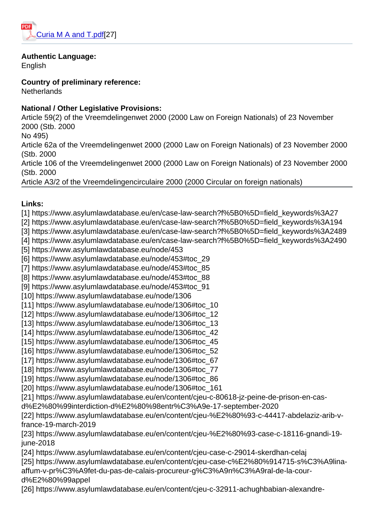Authentic Language: Eng[lish](https://www.asylumlawdatabase.eu/sites/default/files/aldfiles/Curia M A and T.pdf)

Country of preliminary reference: **Netherlands** 

National / Other Legislative Provisions:

Article 59(2) of the Vreemdelingenwet 2000 (2000 Law on Foreign Nationals) of 23 November 2000 (Stb. 2000

No 495)

Article 62a of the Vreemdelingenwet 2000 (2000 Law on Foreign Nationals) of 23 November 2000 (Stb. 2000

Article 106 of the Vreemdelingenwet 2000 (2000 Law on Foreign Nationals) of 23 November 2000 (Stb. 2000

Article A3/2 of the Vreemdelingencirculaire 2000 (2000 Circular on foreign nationals)

Links:

[1] https://www.asylumlawdatabase.eu/en/case-law-search?f%5B0%5D=field\_keywords%3A27

- [2] https://www.asylumlawdatabase.eu/en/case-law-search?f%5B0%5D=field\_keywords%3A194
- [3] https://www.asylumlawdatabase.eu/en/case-law-search?f%5B0%5D=field\_keywords%3A2489
- [4] https://www.asylumlawdatabase.eu/en/case-law-search?f%5B0%5D=field\_keywords%3A2490
- [5] https://www.asylumlawdatabase.eu/node/453
- [6] https://www.asylumlawdatabase.eu/node/453#toc\_29
- [7] https://www.asylumlawdatabase.eu/node/453#toc\_85
- [8] https://www.asylumlawdatabase.eu/node/453#toc\_88
- [9] https://www.asylumlawdatabase.eu/node/453#toc\_91
- [10] https://www.asylumlawdatabase.eu/node/1306
- [11] https://www.asylumlawdatabase.eu/node/1306#toc\_10
- [12] https://www.asylumlawdatabase.eu/node/1306#toc\_12
- [13] https://www.asylumlawdatabase.eu/node/1306#toc\_13
- [14] https://www.asylumlawdatabase.eu/node/1306#toc\_42
- [15] https://www.asylumlawdatabase.eu/node/1306#toc\_45
- [16] https://www.asylumlawdatabase.eu/node/1306#toc\_52
- [17] https://www.asylumlawdatabase.eu/node/1306#toc\_67
- [18] https://www.asylumlawdatabase.eu/node/1306#toc\_77
- [19] https://www.asylumlawdatabase.eu/node/1306#toc\_86
- [20] https://www.asylumlawdatabase.eu/node/1306#toc\_161
- [21] https://www.asylumlawdatabase.eu/en/content/cjeu-c-80618-jz-peine-de-prison-en-cas-
- d%E2%80%99interdiction-d%E2%80%98entr%C3%A9e-17-september-2020
- [22] https://www.asylumlawdatabase.eu/en/content/cjeu-%E2%80%93-c-44417-abdelaziz-arib-vfrance-19-march-2019
- [23] https://www.asylumlawdatabase.eu/en/content/cjeu-%E2%80%93-case-c-18116-gnandi-19 june-2018
- [24] https://www.asylumlawdatabase.eu/en/content/cjeu-case-c-29014-skerdhan-celaj
- [25] https://www.asylumlawdatabase.eu/en/content/cjeu-case-c%E2%80%914715-s%C3%A9linaaffum-v-pr%C3%A9fet-du-pas-de-calais-procureur-g%C3%A9n%C3%A9ral-de-la-courd%E2%80%99appel
- [26] https://www.asylumlawdatabase.eu/en/content/cjeu-c-32911-achughbabian-alexandre-